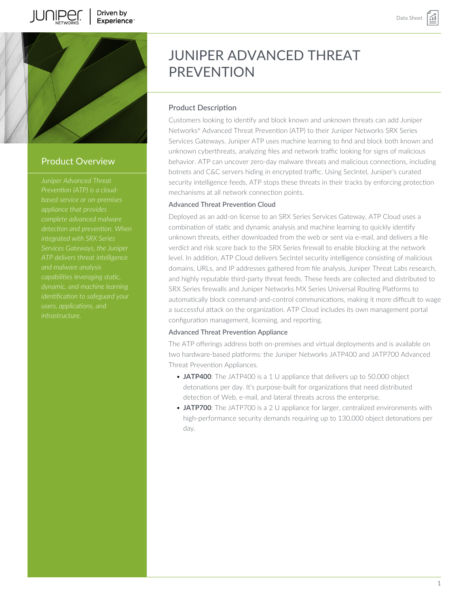



## Product Overview

*Juniper Advanced Threat based service or on-premises detection and prevention. When integrated with SRX Series Services Gateways, the Juniper and malware analysis capabilities leveraging static, identification to safeguard your*

# JUNIPER ADVANCED THREAT PREVENTION

## Product Description

Customers looking to identify and block known and unknown threats can add Juniper Networks® Advanced Threat Prevention (ATP) to their Juniper Networks SRX Series Services Gateways. Juniper ATP uses machine learning to find and block both known and unknown cyberthreats, analyzing files and network traffic looking for signs of malicious behavior. ATP can uncover zero-day malware threats and malicious connections, including botnets and C&C servers hiding in encrypted traffic. Using SecIntel, Juniper's curated security intelligence feeds, ATP stops these threats in their tracks by enforcing protection mechanisms at all network connection points.

## Advanced Threat Prevention Cloud

Deployed as an add-on license to an SRX Series Services Gateway, ATP Cloud uses a combination of static and dynamic analysis and machine learning to quickly identify unknown threats, either downloaded from the web or sent via e-mail, and delivers a file verdict and risk score back to the SRX Series firewall to enable blocking at the network level. In addition, ATP Cloud delivers SecIntel security intelligence consisting of malicious domains, URLs, and IP addresses gathered from file analysis, Juniper Threat Labs research, and highly reputable third-party threat feeds. These feeds are collected and distributed to SRX Series firewalls and Juniper Networks MX Series Universal Routing Platforms to automatically block command-and-control communications, making it more difficult to wage a successful attack on the organization. ATP Cloud includes its own management portal configuration management, licensing, and reporting.

## Advanced Threat Prevention Appliance

The ATP offerings address both on-premises and virtual deployments and is available on two hardware-based platforms: the Juniper Networks JATP400 and JATP700 Advanced Threat Prevention Appliances.

- **JATP400**: The JATP400 is a 1 U appliance that delivers up to 50,000 object detonations per day. It's purpose-built for organizations that need distributed detection of Web, e-mail, and lateral threats across the enterprise.
- **JATP700**: The JATP700 is a 2 U appliance for larger, centralized environments with high-performance security demands requiring up to 130,000 object detonations per day.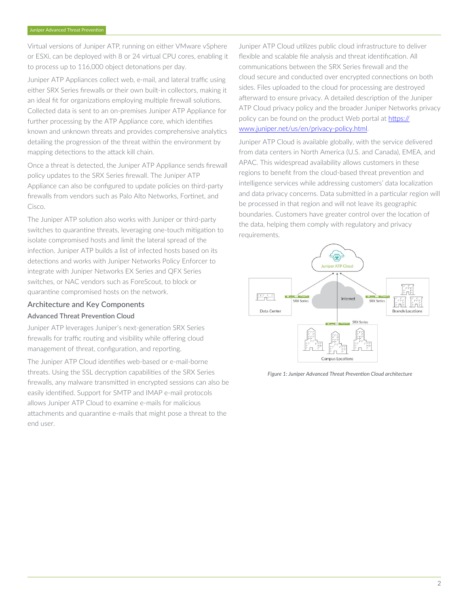Virtual versions of Juniper ATP, running on either VMware vSphere or ESXi, can be deployed with 8 or 24 virtual CPU cores, enabling it to process up to 116,000 object detonations per day.

Juniper ATP Appliances collect web, e-mail, and lateral traffic using either SRX Series firewalls or their own built-in collectors, making it an ideal fit for organizations employing multiple firewall solutions. Collected data is sent to an on-premises Juniper ATP Appliance for further processing by the ATP Appliance core, which identifies known and unknown threats and provides comprehensive analytics detailing the progression of the threat within the environment by mapping detections to the attack kill chain.

Once a threat is detected, the Juniper ATP Appliance sends firewall policy updates to the SRX Series firewall. The Juniper ATP Appliance can also be configured to update policies on third-party firewalls from vendors such as Palo Alto Networks, Fortinet, and Cisco.

The Juniper ATP solution also works with Juniper or third-party switches to quarantine threats, leveraging one-touch mitigation to isolate compromised hosts and limit the lateral spread of the infection. Juniper ATP builds a list of infected hosts based on its detections and works with Juniper Networks Policy Enforcer to integrate with Juniper Networks EX Series and QFX Series switches, or NAC vendors such as ForeScout, to block or quarantine compromised hosts on the network.

## Architecture and Key Components Advanced Threat Prevention Cloud

Juniper ATP leverages Juniper's next-generation SRX Series firewalls for traffic routing and visibility while offering cloud management of threat, configuration, and reporting.

The Juniper ATP Cloud identifies web-based or e-mail-borne threats. Using the SSL decryption capabilities of the SRX Series firewalls, any malware transmitted in encrypted sessions can also be easily identified. Support for SMTP and IMAP e-mail protocols allows Juniper ATP Cloud to examine e-mails for malicious attachments and quarantine e-mails that might pose a threat to the end user.

Juniper ATP Cloud utilizes public cloud infrastructure to deliver flexible and scalable file analysis and threat identification. All communications between the SRX Series firewall and the cloud secure and conducted over encrypted connections on both sides. Files uploaded to the cloud for processing are destroyed afterward to ensure privacy. A detailed description of the Juniper ATP Cloud privacy policy and the broader Juniper Networks privacy policy can be found on the product Web portal at [https://](https://www.juniper.net/us/en/privacy-policy.html) [www.juniper.net/us/en/privacy-policy.html.](https://www.juniper.net/us/en/privacy-policy.html)

Juniper ATP Cloud is available globally, with the service delivered from data centers in North America (U.S. and Canada), EMEA, and APAC. This widespread availability allows customers in these regions to benefit from the cloud-based threat prevention and intelligence services while addressing customers' data localization and data privacy concerns. Data submitted in a particular region will be processed in that region and will not leave its geographic boundaries. Customers have greater control over the location of the data, helping them comply with regulatory and privacy requirements.



*Figure 1: Juniper Advanced Threat Prevention Cloud architecture*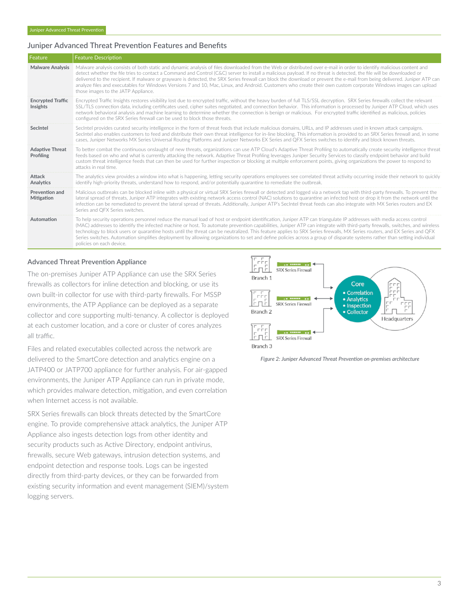## Juniper Advanced Threat Prevention Features and Benefits

| Feature                              | <b>Feature Description</b>                                                                                                                                                                                                                                                                                                                                                                                                                                                                                                                                                                                                                                                                                                               |  |  |  |  |
|--------------------------------------|------------------------------------------------------------------------------------------------------------------------------------------------------------------------------------------------------------------------------------------------------------------------------------------------------------------------------------------------------------------------------------------------------------------------------------------------------------------------------------------------------------------------------------------------------------------------------------------------------------------------------------------------------------------------------------------------------------------------------------------|--|--|--|--|
| <b>Malware Analysis</b>              | Malware analysis consists of both static and dynamic analysis of files downloaded from the Web or distributed over e-mail in order to identify malicious content and<br>detect whether the file tries to contact a Command and Control (C&C) server to install a malicious payload. If no threat is detected, the file will be downloaded or<br>delivered to the recipient. If malware or grayware is detected, the SRX Series firewall can block the download or prevent the e-mail from being delivered. Juniper ATP can<br>analyze files and executables for Windows Versions 7 and 10, Mac, Linux, and Android. Customers who create their own custom corporate Windows images can upload<br>those images to the JATP Appliance.     |  |  |  |  |
| <b>Encrypted Traffic</b><br>Insights | Encrypted Traffic Insights restores visibility lost due to encrypted traffic, without the heavy burden of full TLS/SSL decryption. SRX Series firewalls collect the relevant<br>SSL/TLS connection data, including certificates used, cipher suites negotiated, and connection behavior. This information is processed by Juniper ATP Cloud, which uses<br>network behavioral analysis and machine learning to determine whether the connection is benign or malicious. For encrypted traffic identified as malicious, policies<br>configured on the SRX Series firewall can be used to block those threats.                                                                                                                             |  |  |  |  |
| SecIntel                             | SecIntel provides curated security intelligence in the form of threat feeds that include malicious domains, URLs, and IP addresses used in known attack campaigns.<br>SecIntel also enables customers to feed and distribute their own threat intelligence for in-line blocking. This information is provided to an SRX Series firewall and, in some<br>cases, Juniper Networks MX Series Universal Routing Platforms and Juniper Networks EX Series and QFX Series switches to identify and block known threats.                                                                                                                                                                                                                        |  |  |  |  |
| <b>Adaptive Threat</b><br>Profiling  | To better combat the continuous onslaught of new threats, organizations can use ATP Cloud's Adaptive Threat Profiling to automatically create security intelligence threat<br>feeds based on who and what is currently attacking the network. Adaptive Threat Profiling leverages Juniper Security Services to classify endpoint behavior and build<br>custom threat intelligence feeds that can then be used for further inspection or blocking at multiple enforcement points, giving organizations the power to respond to<br>attacks in real time.                                                                                                                                                                                   |  |  |  |  |
| Attack<br>Analytics                  | The analytics view provides a window into what is happening, letting security operations employees see correlated threat activity occurring inside their network to quickly<br>identify high-priority threats, understand how to respond, and/or potentially quarantine to remediate the outbreak.                                                                                                                                                                                                                                                                                                                                                                                                                                       |  |  |  |  |
| Prevention and<br>Mitigation         | Malicious outbreaks can be blocked inline with a physical or virtual SRX Series firewall or detected and logged via a network tap with third-party firewalls. To prevent the<br>lateral spread of threats, Juniper ATP integrates with existing network access control (NAC) solutions to quarantine an infected host or drop it from the network until the<br>infection can be remediated to prevent the lateral spread of threats. Additionally, Juniper ATP's SecIntel threat feeds can also integrate with MX Series routers and EX<br>Series and OFX Series switches.                                                                                                                                                               |  |  |  |  |
| Automation                           | To help security operations personnel reduce the manual load of host or endpoint identification, Juniper ATP can triangulate IP addresses with media access control<br>(MAC) addresses to identify the infected machine or host. To automate prevention capabilities, Juniper ATP can integrate with third-party firewalls, switches, and wireless<br>technology to block users or quarantine hosts until the threat can be neutralized. This feature applies to SRX Series firewalls, MX Series routers, and EX Series and QFX<br>Series switches. Automation simplifies deployment by allowing organizations to set and define policies across a group of disparate systems rather than setting individual<br>policies on each device. |  |  |  |  |

#### Advanced Threat Prevention Appliance

The on-premises Juniper ATP Appliance can use the SRX Series firewalls as collectors for inline detection and blocking, or use its own built-in collector for use with third-party firewalls. For MSSP environments, the ATP Appliance can be deployed as a separate collector and core supporting multi-tenancy. A collector is deployed at each customer location, and a core or cluster of cores analyzes all traffic.

Files and related executables collected across the network are delivered to the SmartCore detection and analytics engine on a JATP400 or JATP700 appliance for further analysis. For air-gapped environments, the Juniper ATP Appliance can run in private mode, which provides malware detection, mitigation, and even correlation when Internet access is not available.

SRX Series firewalls can block threats detected by the SmartCore engine. To provide comprehensive attack analytics, the Juniper ATP Appliance also ingests detection logs from other identity and security products such as Active Directory, endpoint antivirus, firewalls, secure Web gateways, intrusion detection systems, and endpoint detection and response tools. Logs can be ingested directly from third-party devices, or they can be forwarded from existing security information and event management (SIEM)/system logging servers.



*Figure 2: Juniper Advanced Threat Prevention on-premises architecture*